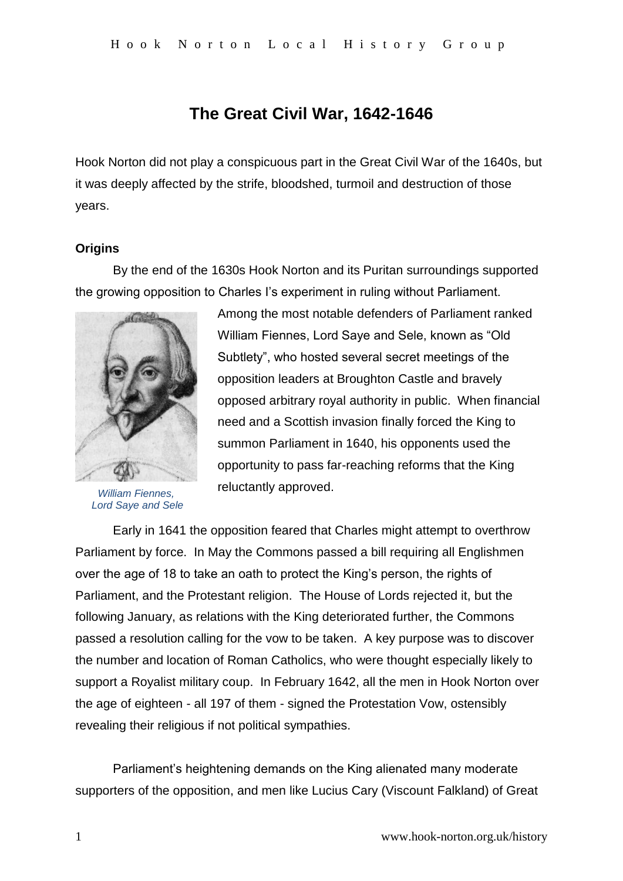# **The Great Civil War, 1642-1646**

Hook Norton did not play a conspicuous part in the Great Civil War of the 1640s, but it was deeply affected by the strife, bloodshed, turmoil and destruction of those years.

# **Origins**

By the end of the 1630s Hook Norton and its Puritan surroundings supported the growing opposition to Charles I's experiment in ruling without Parliament.



*William Fiennes, Lord Saye and Sele*

Among the most notable defenders of Parliament ranked William Fiennes, Lord Saye and Sele, known as "Old Subtlety", who hosted several secret meetings of the opposition leaders at Broughton Castle and bravely opposed arbitrary royal authority in public. When financial need and a Scottish invasion finally forced the King to summon Parliament in 1640, his opponents used the opportunity to pass far-reaching reforms that the King reluctantly approved.

Early in 1641 the opposition feared that Charles might attempt to overthrow Parliament by force. In May the Commons passed a bill requiring all Englishmen over the age of 18 to take an oath to protect the King's person, the rights of Parliament, and the Protestant religion. The House of Lords rejected it, but the following January, as relations with the King deteriorated further, the Commons passed a resolution calling for the vow to be taken. A key purpose was to discover the number and location of Roman Catholics, who were thought especially likely to support a Royalist military coup. In February 1642, all the men in Hook Norton over the age of eighteen - all 197 of them - signed the Protestation Vow, ostensibly revealing their religious if not political sympathies.

Parliament's heightening demands on the King alienated many moderate supporters of the opposition, and men like Lucius Cary (Viscount Falkland) of Great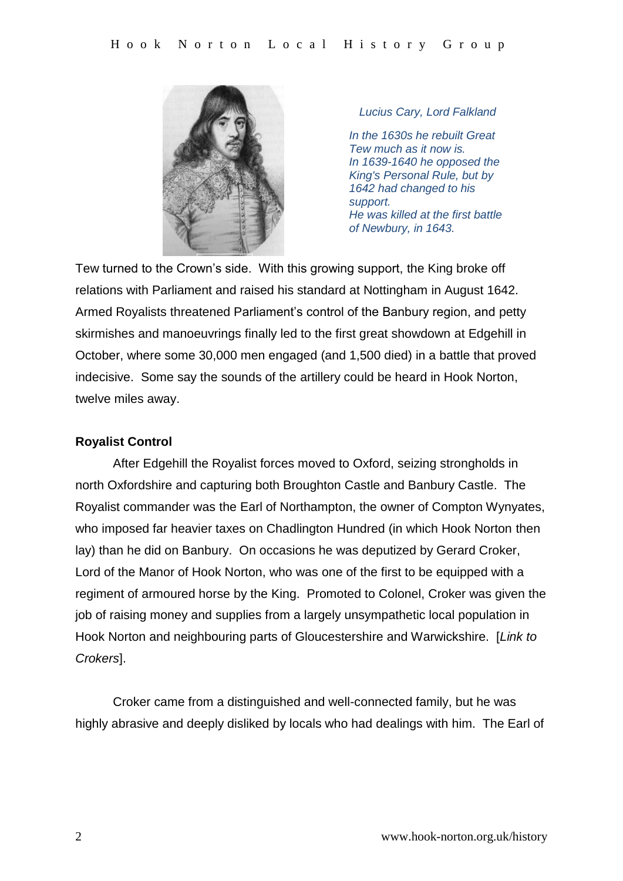

*Lucius Cary, Lord Falkland*

*In the 1630s he rebuilt Great Tew much as it now is. In 1639-1640 he opposed the King's Personal Rule, but by 1642 had changed to his support. He was killed at the first battle of Newbury, in 1643.*

Tew turned to the Crown's side. With this growing support, the King broke off relations with Parliament and raised his standard at Nottingham in August 1642. Armed Royalists threatened Parliament's control of the Banbury region, and petty skirmishes and manoeuvrings finally led to the first great showdown at Edgehill in October, where some 30,000 men engaged (and 1,500 died) in a battle that proved indecisive. Some say the sounds of the artillery could be heard in Hook Norton, twelve miles away.

### **Royalist Control**

After Edgehill the Royalist forces moved to Oxford, seizing strongholds in north Oxfordshire and capturing both Broughton Castle and Banbury Castle. The Royalist commander was the Earl of Northampton, the owner of Compton Wynyates, who imposed far heavier taxes on Chadlington Hundred (in which Hook Norton then lay) than he did on Banbury. On occasions he was deputized by Gerard Croker, Lord of the Manor of Hook Norton, who was one of the first to be equipped with a regiment of armoured horse by the King. Promoted to Colonel, Croker was given the job of raising money and supplies from a largely unsympathetic local population in Hook Norton and neighbouring parts of Gloucestershire and Warwickshire. [*Link to Crokers*].

Croker came from a distinguished and well-connected family, but he was highly abrasive and deeply disliked by locals who had dealings with him. The Earl of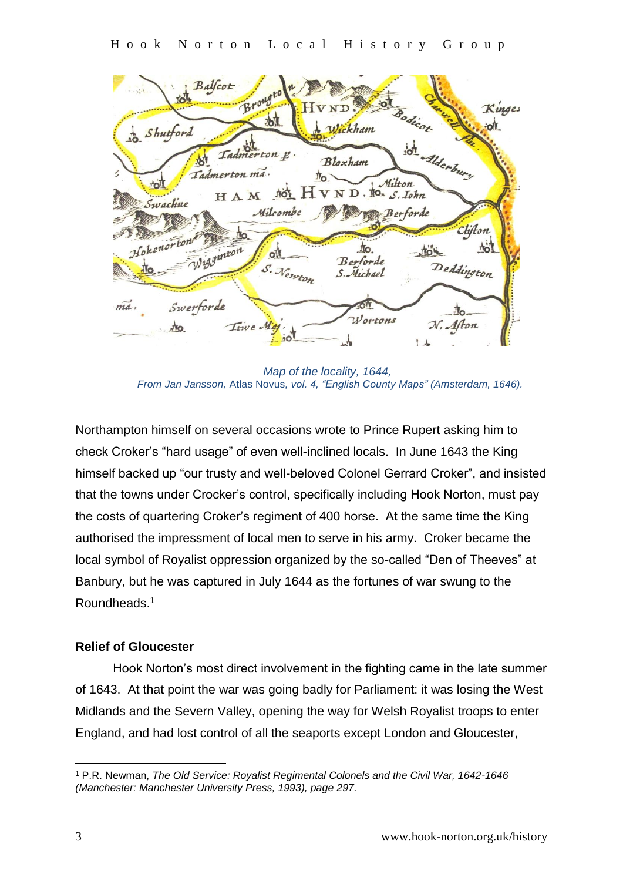Balfcot Brough Kinges 村 Shutford Wickham d. Alderbury Tadmerton p 村 Bloxham Tadmerton ma.  $\mathbb{I}_{\mathsf{O}}$ ND. to. S. Iohn **NOT** HAM Swachue Milcombe **Berforde** Clifton igginton to.  $\frac{1}{2}$  $\mathbf{o}$ Berforde Deddington S. Newton S. Michael Swerforde  $m\alpha$ . *Wortons* Afton Time Ma  $\frac{1}{2}$  $\frac{1}{2}$ 

 *Map of the locality, 1644, From Jan Jansson,* Atlas Novus*, vol. 4, "English County Maps" (Amsterdam, 1646).*

Northampton himself on several occasions wrote to Prince Rupert asking him to check Croker's "hard usage" of even well-inclined locals. In June 1643 the King himself backed up "our trusty and well-beloved Colonel Gerrard Croker", and insisted that the towns under Crocker's control, specifically including Hook Norton, must pay the costs of quartering Croker's regiment of 400 horse. At the same time the King authorised the impressment of local men to serve in his army. Croker became the local symbol of Royalist oppression organized by the so-called "Den of Theeves" at Banbury, but he was captured in July 1644 as the fortunes of war swung to the Roundheads.<sup>1</sup>

# **Relief of Gloucester**

Hook Norton's most direct involvement in the fighting came in the late summer of 1643. At that point the war was going badly for Parliament: it was losing the West Midlands and the Severn Valley, opening the way for Welsh Royalist troops to enter England, and had lost control of all the seaports except London and Gloucester,

<sup>&</sup>lt;u>.</u> <sup>1</sup> P.R. Newman, *The Old Service: Royalist Regimental Colonels and the Civil War, 1642-1646 (Manchester: Manchester University Press, 1993), page 297.*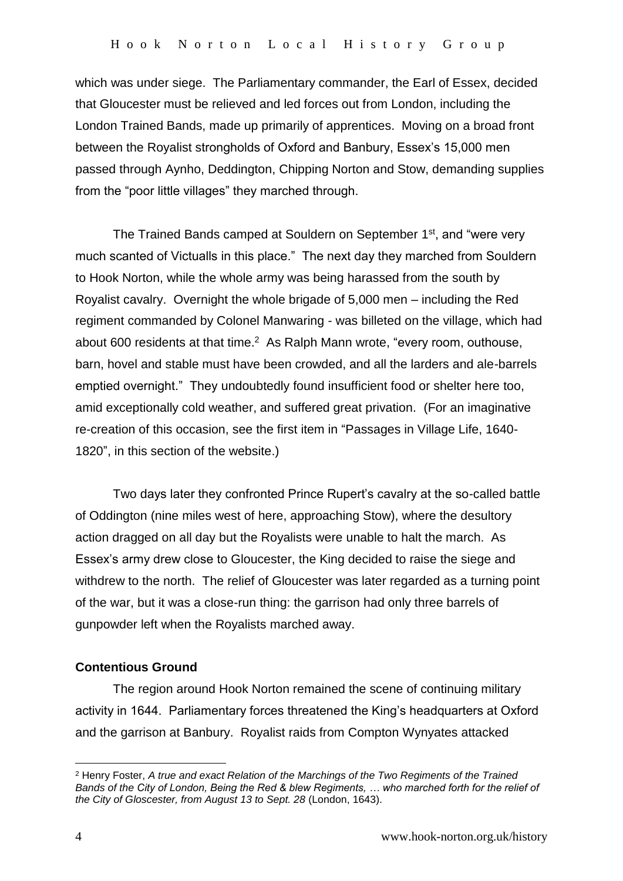which was under siege. The Parliamentary commander, the Earl of Essex, decided that Gloucester must be relieved and led forces out from London, including the London Trained Bands, made up primarily of apprentices. Moving on a broad front between the Royalist strongholds of Oxford and Banbury, Essex's 15,000 men passed through Aynho, Deddington, Chipping Norton and Stow, demanding supplies from the "poor little villages" they marched through.

The Trained Bands camped at Souldern on September 1<sup>st</sup>, and "were very much scanted of Victualls in this place." The next day they marched from Souldern to Hook Norton, while the whole army was being harassed from the south by Royalist cavalry. Overnight the whole brigade of 5,000 men – including the Red regiment commanded by Colonel Manwaring - was billeted on the village, which had about 600 residents at that time. $<sup>2</sup>$  As Ralph Mann wrote, "every room, outhouse,</sup> barn, hovel and stable must have been crowded, and all the larders and ale-barrels emptied overnight." They undoubtedly found insufficient food or shelter here too, amid exceptionally cold weather, and suffered great privation. (For an imaginative re-creation of this occasion, see the first item in "Passages in Village Life, 1640- 1820", in this section of the website.)

Two days later they confronted Prince Rupert's cavalry at the so-called battle of Oddington (nine miles west of here, approaching Stow), where the desultory action dragged on all day but the Royalists were unable to halt the march. As Essex's army drew close to Gloucester, the King decided to raise the siege and withdrew to the north. The relief of Gloucester was later regarded as a turning point of the war, but it was a close-run thing: the garrison had only three barrels of gunpowder left when the Royalists marched away.

#### **Contentious Ground**

The region around Hook Norton remained the scene of continuing military activity in 1644. Parliamentary forces threatened the King's headquarters at Oxford and the garrison at Banbury. Royalist raids from Compton Wynyates attacked

<u>.</u>

<sup>2</sup> Henry Foster, *A true and exact Relation of the Marchings of the Two Regiments of the Trained Bands of the City of London, Being the Red & blew Regiments, … who marched forth for the relief of the City of Gloscester, from August 13 to Sept. 28* (London, 1643).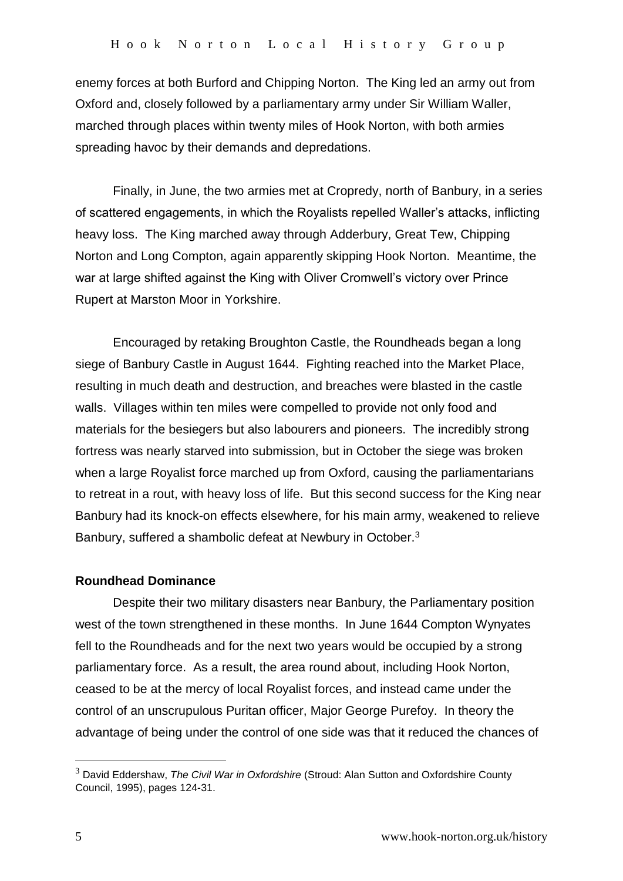enemy forces at both Burford and Chipping Norton. The King led an army out from Oxford and, closely followed by a parliamentary army under Sir William Waller, marched through places within twenty miles of Hook Norton, with both armies spreading havoc by their demands and depredations.

Finally, in June, the two armies met at Cropredy, north of Banbury, in a series of scattered engagements, in which the Royalists repelled Waller's attacks, inflicting heavy loss. The King marched away through Adderbury, Great Tew, Chipping Norton and Long Compton, again apparently skipping Hook Norton. Meantime, the war at large shifted against the King with Oliver Cromwell's victory over Prince Rupert at Marston Moor in Yorkshire.

Encouraged by retaking Broughton Castle, the Roundheads began a long siege of Banbury Castle in August 1644. Fighting reached into the Market Place, resulting in much death and destruction, and breaches were blasted in the castle walls. Villages within ten miles were compelled to provide not only food and materials for the besiegers but also labourers and pioneers. The incredibly strong fortress was nearly starved into submission, but in October the siege was broken when a large Royalist force marched up from Oxford, causing the parliamentarians to retreat in a rout, with heavy loss of life. But this second success for the King near Banbury had its knock-on effects elsewhere, for his main army, weakened to relieve Banbury, suffered a shambolic defeat at Newbury in October.<sup>3</sup>

#### **Roundhead Dominance**

Despite their two military disasters near Banbury, the Parliamentary position west of the town strengthened in these months. In June 1644 Compton Wynyates fell to the Roundheads and for the next two years would be occupied by a strong parliamentary force. As a result, the area round about, including Hook Norton, ceased to be at the mercy of local Royalist forces, and instead came under the control of an unscrupulous Puritan officer, Major George Purefoy. In theory the advantage of being under the control of one side was that it reduced the chances of

<u>.</u>

<sup>3</sup> David Eddershaw, *The Civil War in Oxfordshire* (Stroud: Alan Sutton and Oxfordshire County Council, 1995), pages 124-31.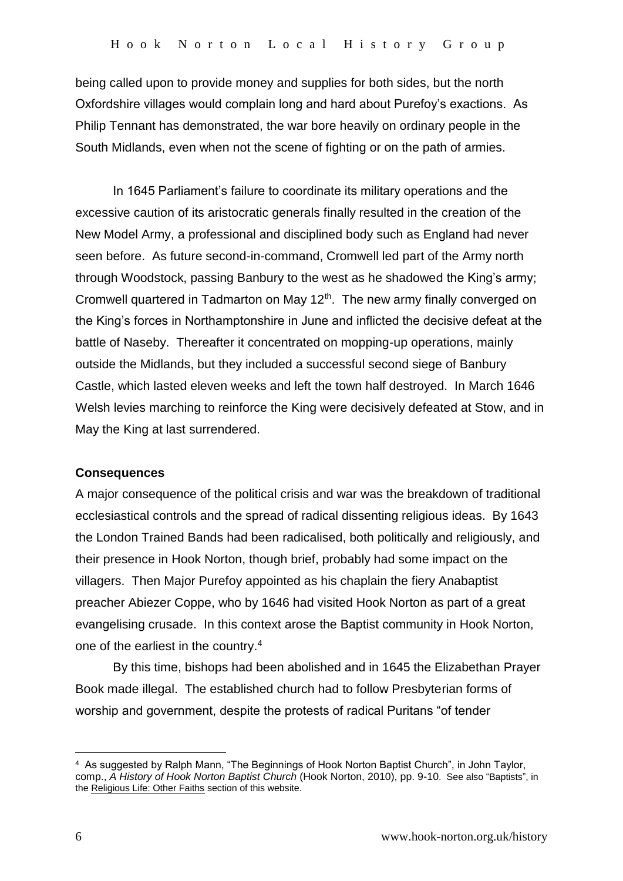being called upon to provide money and supplies for both sides, but the north Oxfordshire villages would complain long and hard about Purefoy's exactions. As Philip Tennant has demonstrated, the war bore heavily on ordinary people in the South Midlands, even when not the scene of fighting or on the path of armies.

In 1645 Parliament's failure to coordinate its military operations and the excessive caution of its aristocratic generals finally resulted in the creation of the New Model Army, a professional and disciplined body such as England had never seen before. As future second-in-command, Cromwell led part of the Army north through Woodstock, passing Banbury to the west as he shadowed the King's army; Cromwell quartered in Tadmarton on May 12<sup>th</sup>. The new army finally converged on the King's forces in Northamptonshire in June and inflicted the decisive defeat at the battle of Naseby. Thereafter it concentrated on mopping-up operations, mainly outside the Midlands, but they included a successful second siege of Banbury Castle, which lasted eleven weeks and left the town half destroyed. In March 1646 Welsh levies marching to reinforce the King were decisively defeated at Stow, and in May the King at last surrendered.

#### **Consequences**

A major consequence of the political crisis and war was the breakdown of traditional ecclesiastical controls and the spread of radical dissenting religious ideas. By 1643 the London Trained Bands had been radicalised, both politically and religiously, and their presence in Hook Norton, though brief, probably had some impact on the villagers. Then Major Purefoy appointed as his chaplain the fiery Anabaptist preacher Abiezer Coppe, who by 1646 had visited Hook Norton as part of a great evangelising crusade. In this context arose the Baptist community in Hook Norton, one of the earliest in the country.<sup>4</sup>

By this time, bishops had been abolished and in 1645 the Elizabethan Prayer Book made illegal. The established church had to follow Presbyterian forms of worship and government, despite the protests of radical Puritans "of tender

1

<sup>4</sup> As suggested by Ralph Mann, "The Beginnings of Hook Norton Baptist Church", in John Taylor, comp., *A History of Hook Norton Baptist Church* (Hook Norton, 2010), pp. 9-10. See also "Baptists", in the Religious Life: Other Faiths section of this website.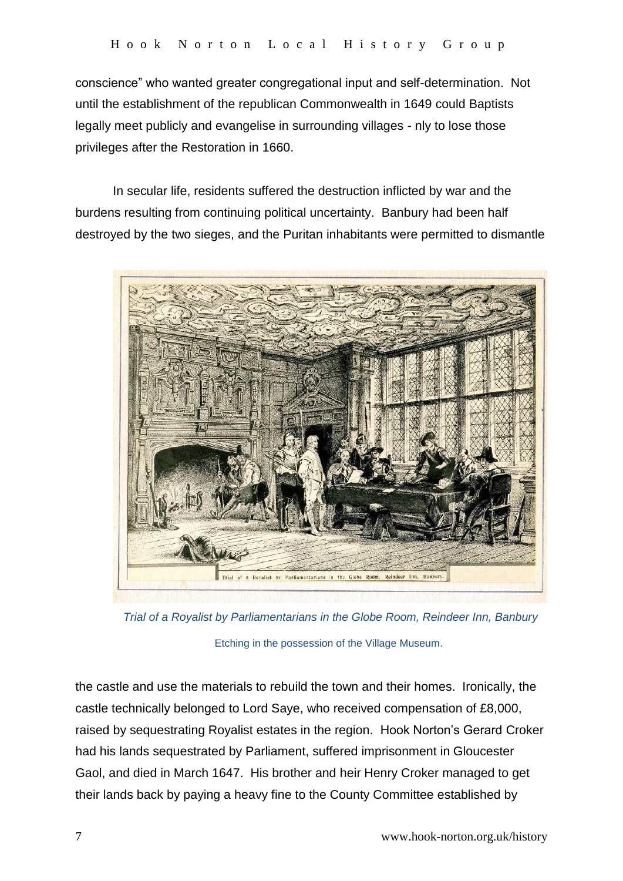conscience" who wanted greater congregational input and self-determination. Not until the establishment of the republican Commonwealth in 1649 could Baptists legally meet publicly and evangelise in surrounding villages - nly to lose those privileges after the Restoration in 1660.

In secular life, residents suffered the destruction inflicted by war and the burdens resulting from continuing political uncertainty. Banbury had been half destroyed by the two sieges, and the Puritan inhabitants were permitted to dismantle



 *Trial of a Royalist by Parliamentarians in the Globe Room, Reindeer Inn, Banbury*  Etching in the possession of the Village Museum.

the castle and use the materials to rebuild the town and their homes. Ironically, the castle technically belonged to Lord Saye, who received compensation of £8,000, raised by sequestrating Royalist estates in the region. Hook Norton's Gerard Croker had his lands sequestrated by Parliament, suffered imprisonment in Gloucester Gaol, and died in March 1647. His brother and heir Henry Croker managed to get their lands back by paying a heavy fine to the County Committee established by